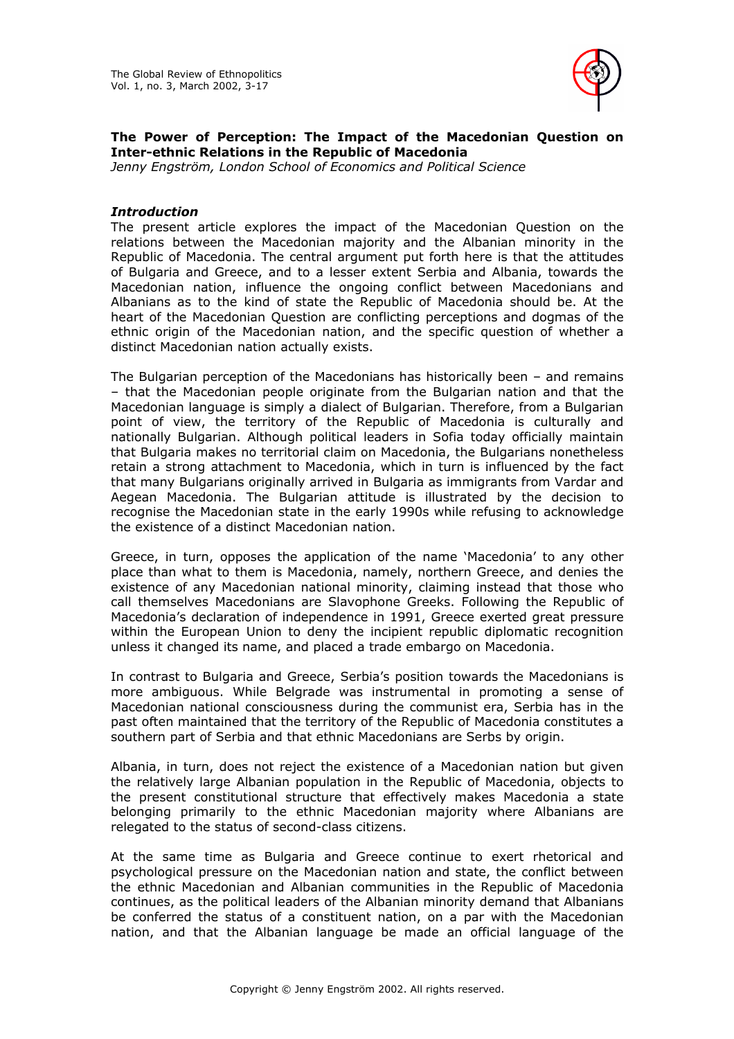

### **The Power of Perception: The Impact of the Macedonian Question on Inter-ethnic Relations in the Republic of Macedonia**

*Jenny Engström, London School of Economics and Political Science* 

# *Introduction*

The present article explores the impact of the Macedonian Question on the relations between the Macedonian majority and the Albanian minority in the Republic of Macedonia. The central argument put forth here is that the attitudes of Bulgaria and Greece, and to a lesser extent Serbia and Albania, towards the Macedonian nation, influence the ongoing conflict between Macedonians and Albanians as to the kind of state the Republic of Macedonia should be. At the heart of the Macedonian Question are conflicting perceptions and dogmas of the ethnic origin of the Macedonian nation, and the specific question of whether a distinct Macedonian nation actually exists.

The Bulgarian perception of the Macedonians has historically been – and remains – that the Macedonian people originate from the Bulgarian nation and that the Macedonian language is simply a dialect of Bulgarian. Therefore, from a Bulgarian point of view, the territory of the Republic of Macedonia is culturally and nationally Bulgarian. Although political leaders in Sofia today officially maintain that Bulgaria makes no territorial claim on Macedonia, the Bulgarians nonetheless retain a strong attachment to Macedonia, which in turn is influenced by the fact that many Bulgarians originally arrived in Bulgaria as immigrants from Vardar and Aegean Macedonia. The Bulgarian attitude is illustrated by the decision to recognise the Macedonian state in the early 1990s while refusing to acknowledge the existence of a distinct Macedonian nation.

Greece, in turn, opposes the application of the name 'Macedonia' to any other place than what to them is Macedonia, namely, northern Greece, and denies the existence of any Macedonian national minority, claiming instead that those who call themselves Macedonians are Slavophone Greeks. Following the Republic of Macedonia's declaration of independence in 1991, Greece exerted great pressure within the European Union to deny the incipient republic diplomatic recognition unless it changed its name, and placed a trade embargo on Macedonia.

In contrast to Bulgaria and Greece, Serbia's position towards the Macedonians is more ambiguous. While Belgrade was instrumental in promoting a sense of Macedonian national consciousness during the communist era, Serbia has in the past often maintained that the territory of the Republic of Macedonia constitutes a southern part of Serbia and that ethnic Macedonians are Serbs by origin.

Albania, in turn, does not reject the existence of a Macedonian nation but given the relatively large Albanian population in the Republic of Macedonia, objects to the present constitutional structure that effectively makes Macedonia a state belonging primarily to the ethnic Macedonian majority where Albanians are relegated to the status of second-class citizens.

At the same time as Bulgaria and Greece continue to exert rhetorical and psychological pressure on the Macedonian nation and state, the conflict between the ethnic Macedonian and Albanian communities in the Republic of Macedonia continues, as the political leaders of the Albanian minority demand that Albanians be conferred the status of a constituent nation, on a par with the Macedonian nation, and that the Albanian language be made an official language of the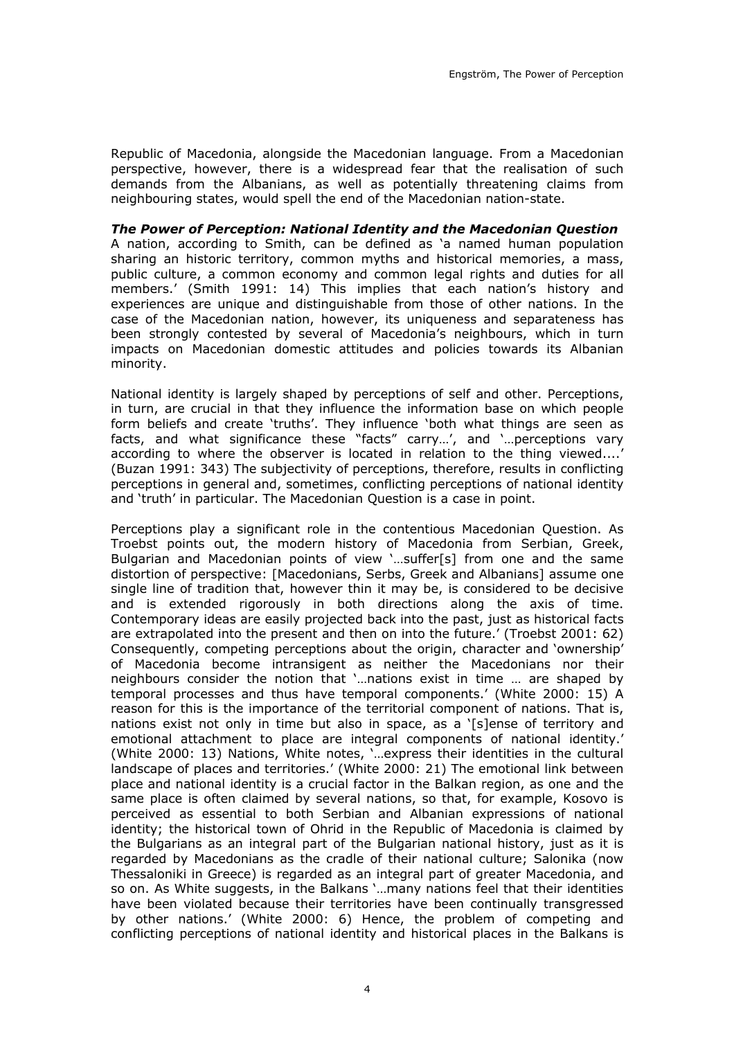Republic of Macedonia, alongside the Macedonian language. From a Macedonian perspective, however, there is a widespread fear that the realisation of such demands from the Albanians, as well as potentially threatening claims from neighbouring states, would spell the end of the Macedonian nation-state.

### *The Power of Perception: National Identity and the Macedonian Question*

A nation, according to Smith, can be defined as 'a named human population sharing an historic territory, common myths and historical memories, a mass, public culture, a common economy and common legal rights and duties for all members.' (Smith 1991: 14) This implies that each nation's history and experiences are unique and distinguishable from those of other nations. In the case of the Macedonian nation, however, its uniqueness and separateness has been strongly contested by several of Macedonia's neighbours, which in turn impacts on Macedonian domestic attitudes and policies towards its Albanian minority.

National identity is largely shaped by perceptions of self and other. Perceptions, in turn, are crucial in that they influence the information base on which people form beliefs and create 'truths'. They influence 'both what things are seen as facts, and what significance these "facts" carry…', and '…perceptions vary according to where the observer is located in relation to the thing viewed....' (Buzan 1991: 343) The subjectivity of perceptions, therefore, results in conflicting perceptions in general and, sometimes, conflicting perceptions of national identity and 'truth' in particular. The Macedonian Question is a case in point.

Perceptions play a significant role in the contentious Macedonian Question. As Troebst points out, the modern history of Macedonia from Serbian, Greek, Bulgarian and Macedonian points of view '…suffer[s] from one and the same distortion of perspective: [Macedonians, Serbs, Greek and Albanians] assume one single line of tradition that, however thin it may be, is considered to be decisive and is extended rigorously in both directions along the axis of time. Contemporary ideas are easily projected back into the past, just as historical facts are extrapolated into the present and then on into the future.' (Troebst 2001: 62) Consequently, competing perceptions about the origin, character and 'ownership' of Macedonia become intransigent as neither the Macedonians nor their neighbours consider the notion that '…nations exist in time … are shaped by temporal processes and thus have temporal components.' (White 2000: 15) A reason for this is the importance of the territorial component of nations. That is, nations exist not only in time but also in space, as a '[s]ense of territory and emotional attachment to place are integral components of national identity.' (White 2000: 13) Nations, White notes, '…express their identities in the cultural landscape of places and territories.' (White 2000: 21) The emotional link between place and national identity is a crucial factor in the Balkan region, as one and the same place is often claimed by several nations, so that, for example, Kosovo is perceived as essential to both Serbian and Albanian expressions of national identity; the historical town of Ohrid in the Republic of Macedonia is claimed by the Bulgarians as an integral part of the Bulgarian national history, just as it is regarded by Macedonians as the cradle of their national culture; Salonika (now Thessaloniki in Greece) is regarded as an integral part of greater Macedonia, and so on. As White suggests, in the Balkans '…many nations feel that their identities have been violated because their territories have been continually transgressed by other nations.' (White 2000: 6) Hence, the problem of competing and conflicting perceptions of national identity and historical places in the Balkans is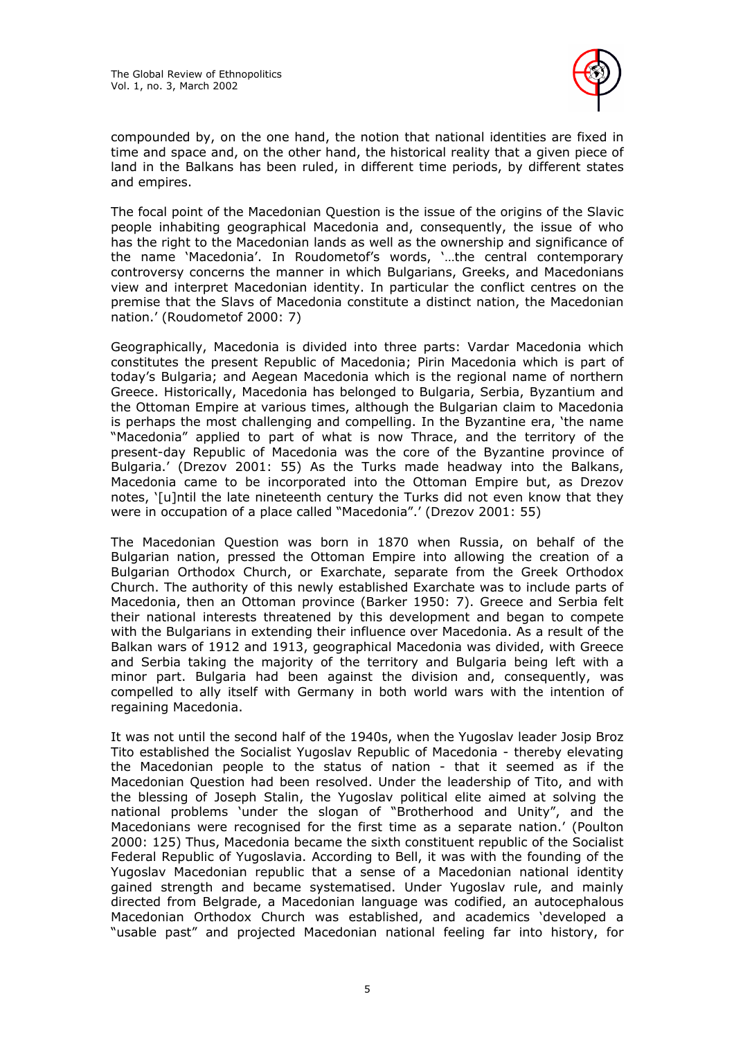

compounded by, on the one hand, the notion that national identities are fixed in time and space and, on the other hand, the historical reality that a given piece of land in the Balkans has been ruled, in different time periods, by different states and empires.

The focal point of the Macedonian Question is the issue of the origins of the Slavic people inhabiting geographical Macedonia and, consequently, the issue of who has the right to the Macedonian lands as well as the ownership and significance of the name 'Macedonia'. In Roudometof's words, '…the central contemporary controversy concerns the manner in which Bulgarians, Greeks, and Macedonians view and interpret Macedonian identity. In particular the conflict centres on the premise that the Slavs of Macedonia constitute a distinct nation, the Macedonian nation.' (Roudometof 2000: 7)

Geographically, Macedonia is divided into three parts: Vardar Macedonia which constitutes the present Republic of Macedonia; Pirin Macedonia which is part of today's Bulgaria; and Aegean Macedonia which is the regional name of northern Greece. Historically, Macedonia has belonged to Bulgaria, Serbia, Byzantium and the Ottoman Empire at various times, although the Bulgarian claim to Macedonia is perhaps the most challenging and compelling. In the Byzantine era, 'the name "Macedonia" applied to part of what is now Thrace, and the territory of the present-day Republic of Macedonia was the core of the Byzantine province of Bulgaria.' (Drezov 2001: 55) As the Turks made headway into the Balkans, Macedonia came to be incorporated into the Ottoman Empire but, as Drezov notes, '[u]ntil the late nineteenth century the Turks did not even know that they were in occupation of a place called "Macedonia".' (Drezov 2001: 55)

The Macedonian Question was born in 1870 when Russia, on behalf of the Bulgarian nation, pressed the Ottoman Empire into allowing the creation of a Bulgarian Orthodox Church, or Exarchate, separate from the Greek Orthodox Church. The authority of this newly established Exarchate was to include parts of Macedonia, then an Ottoman province (Barker 1950: 7). Greece and Serbia felt their national interests threatened by this development and began to compete with the Bulgarians in extending their influence over Macedonia. As a result of the Balkan wars of 1912 and 1913, geographical Macedonia was divided, with Greece and Serbia taking the majority of the territory and Bulgaria being left with a minor part. Bulgaria had been against the division and, consequently, was compelled to ally itself with Germany in both world wars with the intention of regaining Macedonia.

It was not until the second half of the 1940s, when the Yugoslav leader Josip Broz Tito established the Socialist Yugoslav Republic of Macedonia - thereby elevating the Macedonian people to the status of nation - that it seemed as if the Macedonian Question had been resolved. Under the leadership of Tito, and with the blessing of Joseph Stalin, the Yugoslav political elite aimed at solving the national problems 'under the slogan of "Brotherhood and Unity", and the Macedonians were recognised for the first time as a separate nation.' (Poulton 2000: 125) Thus, Macedonia became the sixth constituent republic of the Socialist Federal Republic of Yugoslavia. According to Bell, it was with the founding of the Yugoslav Macedonian republic that a sense of a Macedonian national identity gained strength and became systematised. Under Yugoslav rule, and mainly directed from Belgrade, a Macedonian language was codified, an autocephalous Macedonian Orthodox Church was established, and academics 'developed a "usable past" and projected Macedonian national feeling far into history, for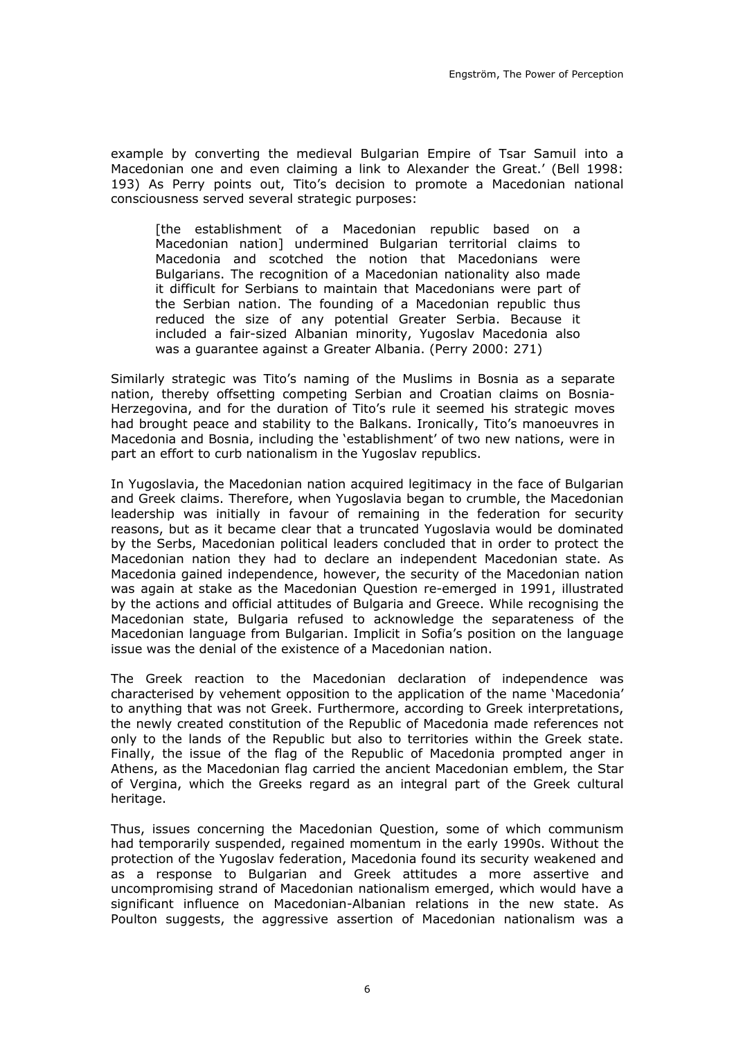example by converting the medieval Bulgarian Empire of Tsar Samuil into a Macedonian one and even claiming a link to Alexander the Great.' (Bell 1998: 193) As Perry points out, Tito's decision to promote a Macedonian national consciousness served several strategic purposes:

[the establishment of a Macedonian republic based on a Macedonian nation] undermined Bulgarian territorial claims to Macedonia and scotched the notion that Macedonians were Bulgarians. The recognition of a Macedonian nationality also made it difficult for Serbians to maintain that Macedonians were part of the Serbian nation. The founding of a Macedonian republic thus reduced the size of any potential Greater Serbia. Because it included a fair-sized Albanian minority, Yugoslav Macedonia also was a guarantee against a Greater Albania. (Perry 2000: 271)

Similarly strategic was Tito's naming of the Muslims in Bosnia as a separate nation, thereby offsetting competing Serbian and Croatian claims on Bosnia-Herzegovina, and for the duration of Tito's rule it seemed his strategic moves had brought peace and stability to the Balkans. Ironically, Tito's manoeuvres in Macedonia and Bosnia, including the 'establishment' of two new nations, were in part an effort to curb nationalism in the Yugoslav republics.

In Yugoslavia, the Macedonian nation acquired legitimacy in the face of Bulgarian and Greek claims. Therefore, when Yugoslavia began to crumble, the Macedonian leadership was initially in favour of remaining in the federation for security reasons, but as it became clear that a truncated Yugoslavia would be dominated by the Serbs, Macedonian political leaders concluded that in order to protect the Macedonian nation they had to declare an independent Macedonian state. As Macedonia gained independence, however, the security of the Macedonian nation was again at stake as the Macedonian Question re-emerged in 1991, illustrated by the actions and official attitudes of Bulgaria and Greece. While recognising the Macedonian state, Bulgaria refused to acknowledge the separateness of the Macedonian language from Bulgarian. Implicit in Sofia's position on the language issue was the denial of the existence of a Macedonian nation.

The Greek reaction to the Macedonian declaration of independence was characterised by vehement opposition to the application of the name 'Macedonia' to anything that was not Greek. Furthermore, according to Greek interpretations, the newly created constitution of the Republic of Macedonia made references not only to the lands of the Republic but also to territories within the Greek state. Finally, the issue of the flag of the Republic of Macedonia prompted anger in Athens, as the Macedonian flag carried the ancient Macedonian emblem, the Star of Vergina, which the Greeks regard as an integral part of the Greek cultural heritage.

Thus, issues concerning the Macedonian Question, some of which communism had temporarily suspended, regained momentum in the early 1990s. Without the protection of the Yugoslav federation, Macedonia found its security weakened and as a response to Bulgarian and Greek attitudes a more assertive and uncompromising strand of Macedonian nationalism emerged, which would have a significant influence on Macedonian-Albanian relations in the new state. As Poulton suggests, the aggressive assertion of Macedonian nationalism was a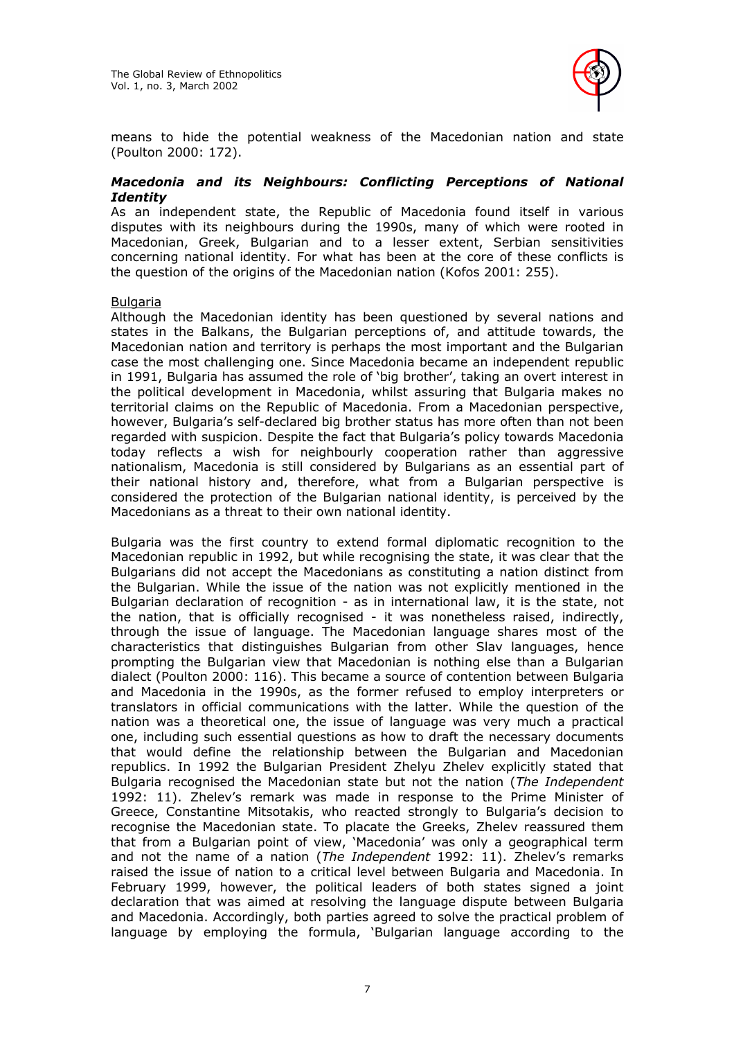

means to hide the potential weakness of the Macedonian nation and state (Poulton 2000: 172).

# *Macedonia and its Neighbours: Conflicting Perceptions of National Identity*

As an independent state, the Republic of Macedonia found itself in various disputes with its neighbours during the 1990s, many of which were rooted in Macedonian, Greek, Bulgarian and to a lesser extent, Serbian sensitivities concerning national identity. For what has been at the core of these conflicts is the question of the origins of the Macedonian nation (Kofos 2001: 255).

# **Bulgaria**

Although the Macedonian identity has been questioned by several nations and states in the Balkans, the Bulgarian perceptions of, and attitude towards, the Macedonian nation and territory is perhaps the most important and the Bulgarian case the most challenging one. Since Macedonia became an independent republic in 1991, Bulgaria has assumed the role of 'big brother', taking an overt interest in the political development in Macedonia, whilst assuring that Bulgaria makes no territorial claims on the Republic of Macedonia. From a Macedonian perspective, however, Bulgaria's self-declared big brother status has more often than not been regarded with suspicion. Despite the fact that Bulgaria's policy towards Macedonia today reflects a wish for neighbourly cooperation rather than aggressive nationalism, Macedonia is still considered by Bulgarians as an essential part of their national history and, therefore, what from a Bulgarian perspective is considered the protection of the Bulgarian national identity, is perceived by the Macedonians as a threat to their own national identity.

Bulgaria was the first country to extend formal diplomatic recognition to the Macedonian republic in 1992, but while recognising the state, it was clear that the Bulgarians did not accept the Macedonians as constituting a nation distinct from the Bulgarian. While the issue of the nation was not explicitly mentioned in the Bulgarian declaration of recognition - as in international law, it is the state, not the nation, that is officially recognised - it was nonetheless raised, indirectly, through the issue of language. The Macedonian language shares most of the characteristics that distinguishes Bulgarian from other Slav languages, hence prompting the Bulgarian view that Macedonian is nothing else than a Bulgarian dialect (Poulton 2000: 116). This became a source of contention between Bulgaria and Macedonia in the 1990s, as the former refused to employ interpreters or translators in official communications with the latter. While the question of the nation was a theoretical one, the issue of language was very much a practical one, including such essential questions as how to draft the necessary documents that would define the relationship between the Bulgarian and Macedonian republics. In 1992 the Bulgarian President Zhelyu Zhelev explicitly stated that Bulgaria recognised the Macedonian state but not the nation (*The Independent* 1992: 11). Zhelev's remark was made in response to the Prime Minister of Greece, Constantine Mitsotakis, who reacted strongly to Bulgaria's decision to recognise the Macedonian state. To placate the Greeks, Zhelev reassured them that from a Bulgarian point of view, 'Macedonia' was only a geographical term and not the name of a nation (*The Independent* 1992: 11). Zhelev's remarks raised the issue of nation to a critical level between Bulgaria and Macedonia. In February 1999, however, the political leaders of both states signed a joint declaration that was aimed at resolving the language dispute between Bulgaria and Macedonia. Accordingly, both parties agreed to solve the practical problem of language by employing the formula, 'Bulgarian language according to the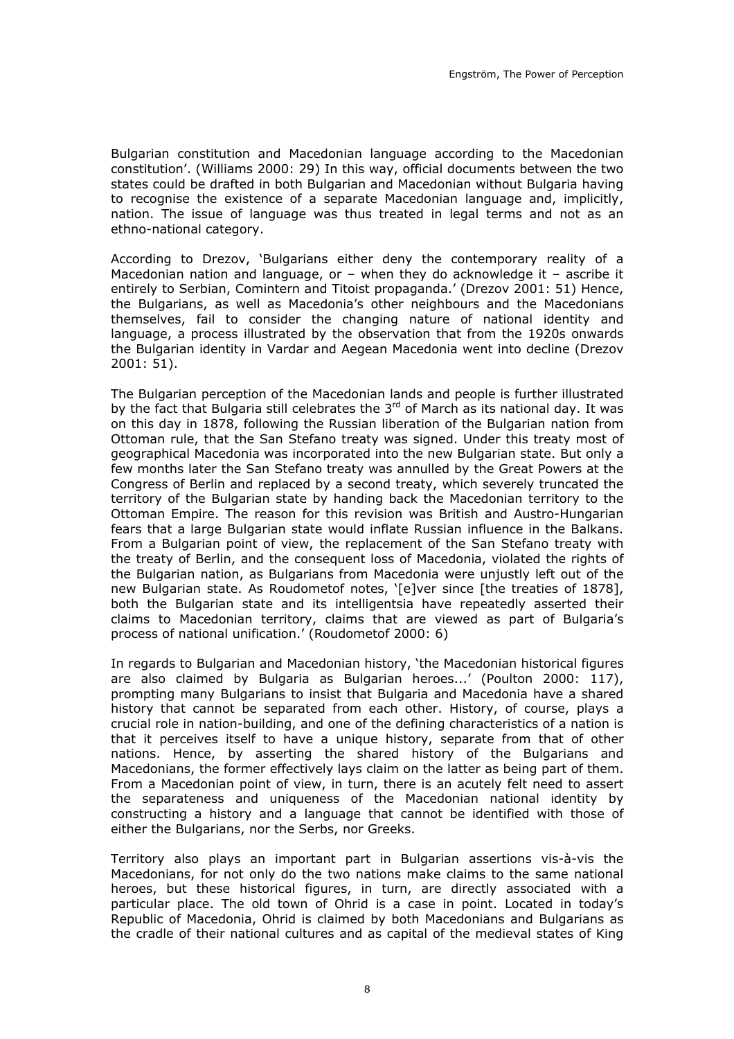Bulgarian constitution and Macedonian language according to the Macedonian constitution'. (Williams 2000: 29) In this way, official documents between the two states could be drafted in both Bulgarian and Macedonian without Bulgaria having to recognise the existence of a separate Macedonian language and, implicitly, nation. The issue of language was thus treated in legal terms and not as an ethno-national category.

According to Drezov, 'Bulgarians either deny the contemporary reality of a Macedonian nation and language, or – when they do acknowledge it – ascribe it entirely to Serbian, Comintern and Titoist propaganda.' (Drezov 2001: 51) Hence, the Bulgarians, as well as Macedonia's other neighbours and the Macedonians themselves, fail to consider the changing nature of national identity and language, a process illustrated by the observation that from the 1920s onwards the Bulgarian identity in Vardar and Aegean Macedonia went into decline (Drezov 2001: 51).

The Bulgarian perception of the Macedonian lands and people is further illustrated by the fact that Bulgaria still celebrates the  $3<sup>rd</sup>$  of March as its national day. It was on this day in 1878, following the Russian liberation of the Bulgarian nation from Ottoman rule, that the San Stefano treaty was signed. Under this treaty most of geographical Macedonia was incorporated into the new Bulgarian state. But only a few months later the San Stefano treaty was annulled by the Great Powers at the Congress of Berlin and replaced by a second treaty, which severely truncated the territory of the Bulgarian state by handing back the Macedonian territory to the Ottoman Empire. The reason for this revision was British and Austro-Hungarian fears that a large Bulgarian state would inflate Russian influence in the Balkans. From a Bulgarian point of view, the replacement of the San Stefano treaty with the treaty of Berlin, and the consequent loss of Macedonia, violated the rights of the Bulgarian nation, as Bulgarians from Macedonia were unjustly left out of the new Bulgarian state. As Roudometof notes, '[e]ver since [the treaties of 1878], both the Bulgarian state and its intelligentsia have repeatedly asserted their claims to Macedonian territory, claims that are viewed as part of Bulgaria's process of national unification.' (Roudometof 2000: 6)

In regards to Bulgarian and Macedonian history, 'the Macedonian historical figures are also claimed by Bulgaria as Bulgarian heroes...' (Poulton 2000: 117), prompting many Bulgarians to insist that Bulgaria and Macedonia have a shared history that cannot be separated from each other. History, of course, plays a crucial role in nation-building, and one of the defining characteristics of a nation is that it perceives itself to have a unique history, separate from that of other nations. Hence, by asserting the shared history of the Bulgarians and Macedonians, the former effectively lays claim on the latter as being part of them. From a Macedonian point of view, in turn, there is an acutely felt need to assert the separateness and uniqueness of the Macedonian national identity by constructing a history and a language that cannot be identified with those of either the Bulgarians, nor the Serbs, nor Greeks.

Territory also plays an important part in Bulgarian assertions vis-à-vis the Macedonians, for not only do the two nations make claims to the same national heroes, but these historical figures, in turn, are directly associated with a particular place. The old town of Ohrid is a case in point. Located in today's Republic of Macedonia, Ohrid is claimed by both Macedonians and Bulgarians as the cradle of their national cultures and as capital of the medieval states of King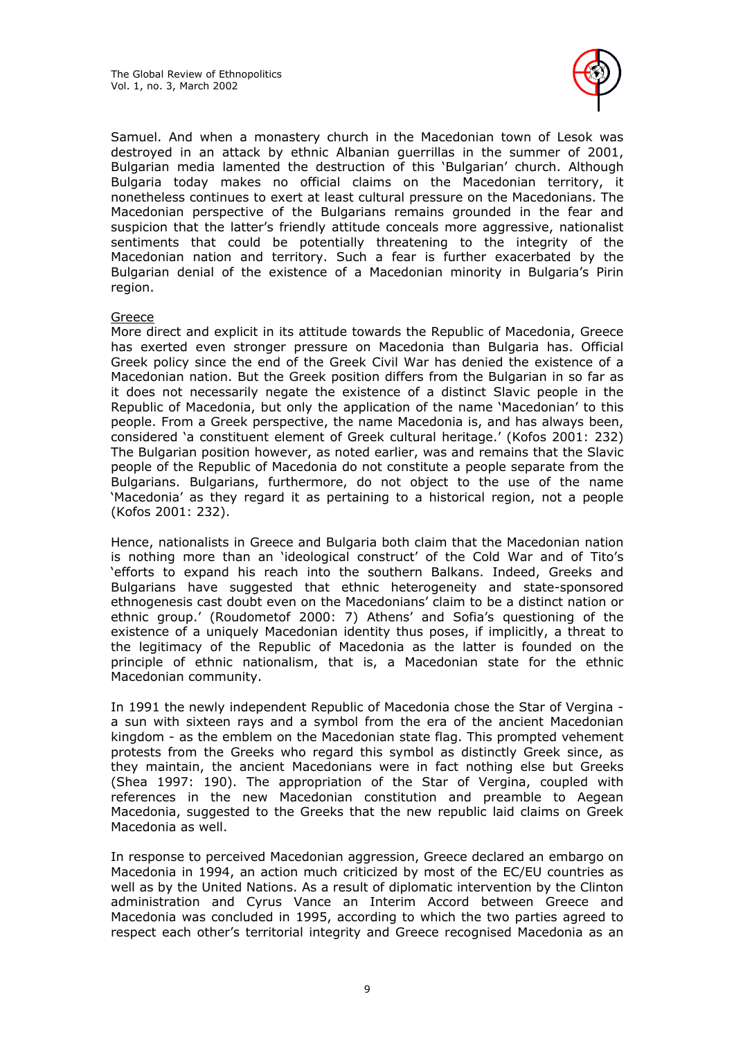

Samuel. And when a monastery church in the Macedonian town of Lesok was destroyed in an attack by ethnic Albanian guerrillas in the summer of 2001, Bulgarian media lamented the destruction of this 'Bulgarian' church. Although Bulgaria today makes no official claims on the Macedonian territory, it nonetheless continues to exert at least cultural pressure on the Macedonians. The Macedonian perspective of the Bulgarians remains grounded in the fear and suspicion that the latter's friendly attitude conceals more aggressive, nationalist sentiments that could be potentially threatening to the integrity of the Macedonian nation and territory. Such a fear is further exacerbated by the Bulgarian denial of the existence of a Macedonian minority in Bulgaria's Pirin region.

# Greece

More direct and explicit in its attitude towards the Republic of Macedonia, Greece has exerted even stronger pressure on Macedonia than Bulgaria has. Official Greek policy since the end of the Greek Civil War has denied the existence of a Macedonian nation. But the Greek position differs from the Bulgarian in so far as it does not necessarily negate the existence of a distinct Slavic people in the Republic of Macedonia, but only the application of the name 'Macedonian' to this people. From a Greek perspective, the name Macedonia is, and has always been, considered 'a constituent element of Greek cultural heritage.' (Kofos 2001: 232) The Bulgarian position however, as noted earlier, was and remains that the Slavic people of the Republic of Macedonia do not constitute a people separate from the Bulgarians. Bulgarians, furthermore, do not object to the use of the name 'Macedonia' as they regard it as pertaining to a historical region, not a people (Kofos 2001: 232).

Hence, nationalists in Greece and Bulgaria both claim that the Macedonian nation is nothing more than an 'ideological construct' of the Cold War and of Tito's 'efforts to expand his reach into the southern Balkans. Indeed, Greeks and Bulgarians have suggested that ethnic heterogeneity and state-sponsored ethnogenesis cast doubt even on the Macedonians' claim to be a distinct nation or ethnic group.' (Roudometof 2000: 7) Athens' and Sofia's questioning of the existence of a uniquely Macedonian identity thus poses, if implicitly, a threat to the legitimacy of the Republic of Macedonia as the latter is founded on the principle of ethnic nationalism, that is, a Macedonian state for the ethnic Macedonian community.

In 1991 the newly independent Republic of Macedonia chose the Star of Vergina a sun with sixteen rays and a symbol from the era of the ancient Macedonian kingdom - as the emblem on the Macedonian state flag. This prompted vehement protests from the Greeks who regard this symbol as distinctly Greek since, as they maintain, the ancient Macedonians were in fact nothing else but Greeks (Shea 1997: 190). The appropriation of the Star of Vergina, coupled with references in the new Macedonian constitution and preamble to Aegean Macedonia, suggested to the Greeks that the new republic laid claims on Greek Macedonia as well.

In response to perceived Macedonian aggression, Greece declared an embargo on Macedonia in 1994, an action much criticized by most of the EC/EU countries as well as by the United Nations. As a result of diplomatic intervention by the Clinton administration and Cyrus Vance an Interim Accord between Greece and Macedonia was concluded in 1995, according to which the two parties agreed to respect each other's territorial integrity and Greece recognised Macedonia as an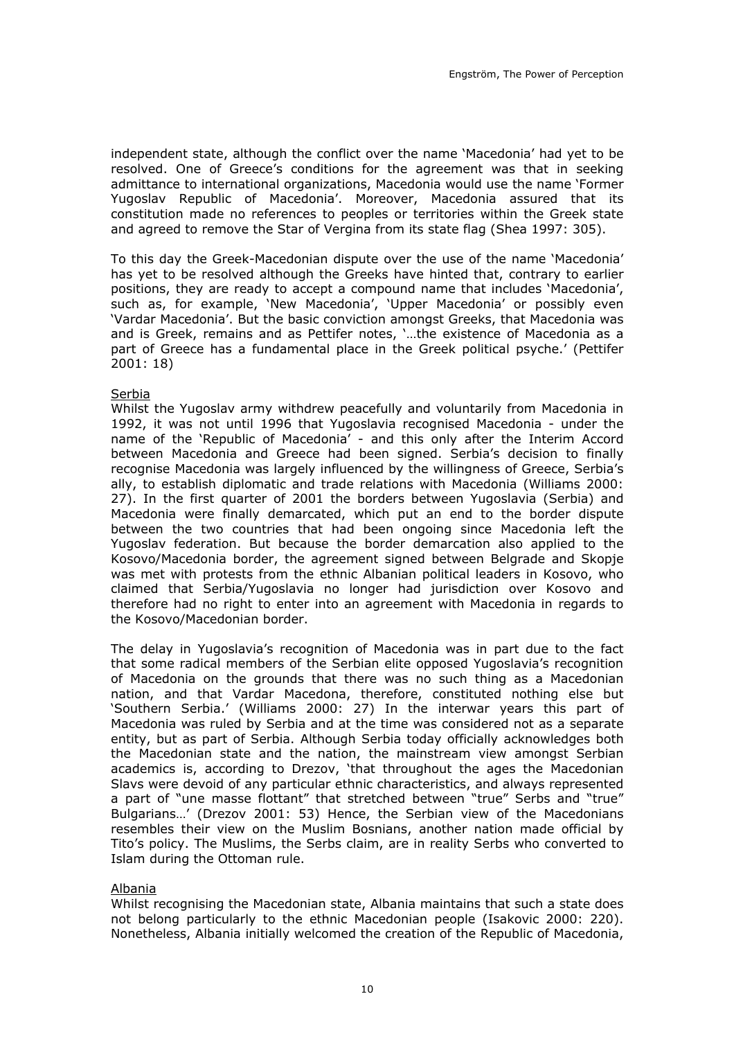independent state, although the conflict over the name 'Macedonia' had yet to be resolved. One of Greece's conditions for the agreement was that in seeking admittance to international organizations, Macedonia would use the name 'Former Yugoslav Republic of Macedonia'. Moreover, Macedonia assured that its constitution made no references to peoples or territories within the Greek state and agreed to remove the Star of Vergina from its state flag (Shea 1997: 305).

To this day the Greek-Macedonian dispute over the use of the name 'Macedonia' has yet to be resolved although the Greeks have hinted that, contrary to earlier positions, they are ready to accept a compound name that includes 'Macedonia', such as, for example, 'New Macedonia', 'Upper Macedonia' or possibly even 'Vardar Macedonia'. But the basic conviction amongst Greeks, that Macedonia was and is Greek, remains and as Pettifer notes, '…the existence of Macedonia as a part of Greece has a fundamental place in the Greek political psyche.' (Pettifer 2001: 18)

### Serbia

Whilst the Yugoslav army withdrew peacefully and voluntarily from Macedonia in 1992, it was not until 1996 that Yugoslavia recognised Macedonia - under the name of the 'Republic of Macedonia' - and this only after the Interim Accord between Macedonia and Greece had been signed. Serbia's decision to finally recognise Macedonia was largely influenced by the willingness of Greece, Serbia's ally, to establish diplomatic and trade relations with Macedonia (Williams 2000: 27). In the first quarter of 2001 the borders between Yugoslavia (Serbia) and Macedonia were finally demarcated, which put an end to the border dispute between the two countries that had been ongoing since Macedonia left the Yugoslav federation. But because the border demarcation also applied to the Kosovo/Macedonia border, the agreement signed between Belgrade and Skopje was met with protests from the ethnic Albanian political leaders in Kosovo, who claimed that Serbia/Yugoslavia no longer had jurisdiction over Kosovo and therefore had no right to enter into an agreement with Macedonia in regards to the Kosovo/Macedonian border.

The delay in Yugoslavia's recognition of Macedonia was in part due to the fact that some radical members of the Serbian elite opposed Yugoslavia's recognition of Macedonia on the grounds that there was no such thing as a Macedonian nation, and that Vardar Macedona, therefore, constituted nothing else but 'Southern Serbia.' (Williams 2000: 27) In the interwar years this part of Macedonia was ruled by Serbia and at the time was considered not as a separate entity, but as part of Serbia. Although Serbia today officially acknowledges both the Macedonian state and the nation, the mainstream view amongst Serbian academics is, according to Drezov, 'that throughout the ages the Macedonian Slavs were devoid of any particular ethnic characteristics, and always represented a part of "une masse flottant" that stretched between "true" Serbs and "true" Bulgarians…' (Drezov 2001: 53) Hence, the Serbian view of the Macedonians resembles their view on the Muslim Bosnians, another nation made official by Tito's policy. The Muslims, the Serbs claim, are in reality Serbs who converted to Islam during the Ottoman rule.

# Albania

Whilst recognising the Macedonian state, Albania maintains that such a state does not belong particularly to the ethnic Macedonian people (Isakovic 2000: 220). Nonetheless, Albania initially welcomed the creation of the Republic of Macedonia,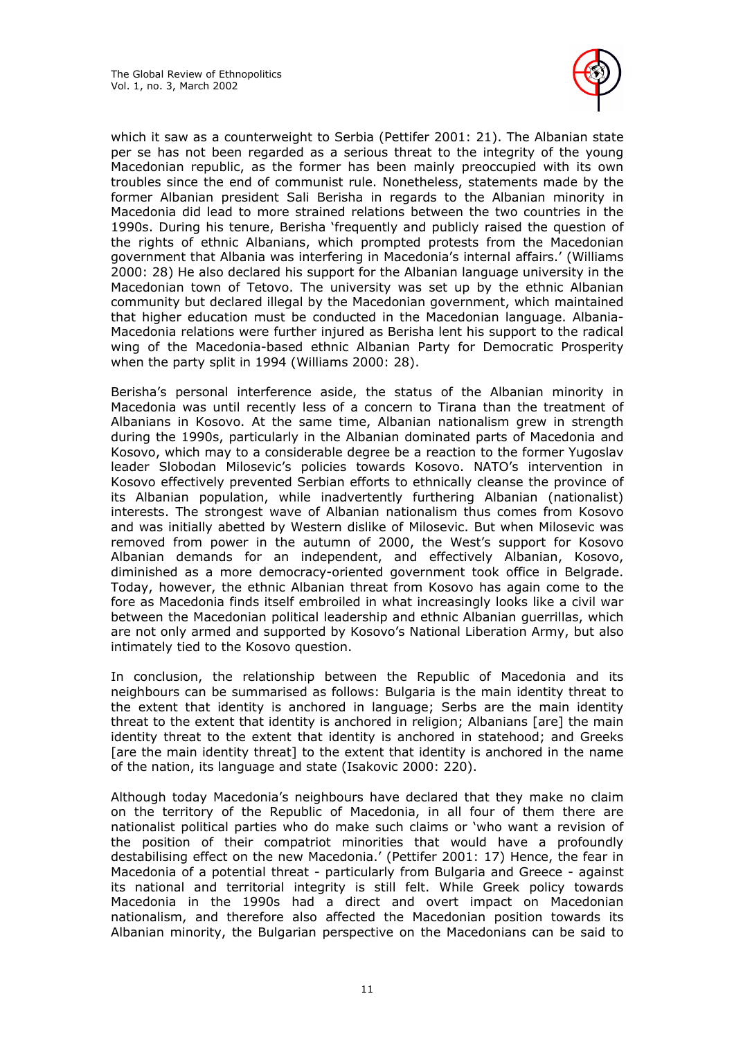

which it saw as a counterweight to Serbia (Pettifer 2001: 21). The Albanian state per se has not been regarded as a serious threat to the integrity of the young Macedonian republic, as the former has been mainly preoccupied with its own troubles since the end of communist rule. Nonetheless, statements made by the former Albanian president Sali Berisha in regards to the Albanian minority in Macedonia did lead to more strained relations between the two countries in the 1990s. During his tenure, Berisha 'frequently and publicly raised the question of the rights of ethnic Albanians, which prompted protests from the Macedonian government that Albania was interfering in Macedonia's internal affairs.' (Williams 2000: 28) He also declared his support for the Albanian language university in the Macedonian town of Tetovo. The university was set up by the ethnic Albanian community but declared illegal by the Macedonian government, which maintained that higher education must be conducted in the Macedonian language. Albania-Macedonia relations were further injured as Berisha lent his support to the radical wing of the Macedonia-based ethnic Albanian Party for Democratic Prosperity when the party split in 1994 (Williams 2000: 28).

Berisha's personal interference aside, the status of the Albanian minority in Macedonia was until recently less of a concern to Tirana than the treatment of Albanians in Kosovo. At the same time, Albanian nationalism grew in strength during the 1990s, particularly in the Albanian dominated parts of Macedonia and Kosovo, which may to a considerable degree be a reaction to the former Yugoslav leader Slobodan Milosevic's policies towards Kosovo. NATO's intervention in Kosovo effectively prevented Serbian efforts to ethnically cleanse the province of its Albanian population, while inadvertently furthering Albanian (nationalist) interests. The strongest wave of Albanian nationalism thus comes from Kosovo and was initially abetted by Western dislike of Milosevic. But when Milosevic was removed from power in the autumn of 2000, the West's support for Kosovo Albanian demands for an independent, and effectively Albanian, Kosovo, diminished as a more democracy-oriented government took office in Belgrade. Today, however, the ethnic Albanian threat from Kosovo has again come to the fore as Macedonia finds itself embroiled in what increasingly looks like a civil war between the Macedonian political leadership and ethnic Albanian guerrillas, which are not only armed and supported by Kosovo's National Liberation Army, but also intimately tied to the Kosovo question.

In conclusion, the relationship between the Republic of Macedonia and its neighbours can be summarised as follows: Bulgaria is the main identity threat to the extent that identity is anchored in language; Serbs are the main identity threat to the extent that identity is anchored in religion; Albanians [are] the main identity threat to the extent that identity is anchored in statehood; and Greeks [are the main identity threat] to the extent that identity is anchored in the name of the nation, its language and state (Isakovic 2000: 220).

Although today Macedonia's neighbours have declared that they make no claim on the territory of the Republic of Macedonia, in all four of them there are nationalist political parties who do make such claims or 'who want a revision of the position of their compatriot minorities that would have a profoundly destabilising effect on the new Macedonia.' (Pettifer 2001: 17) Hence, the fear in Macedonia of a potential threat - particularly from Bulgaria and Greece - against its national and territorial integrity is still felt. While Greek policy towards Macedonia in the 1990s had a direct and overt impact on Macedonian nationalism, and therefore also affected the Macedonian position towards its Albanian minority, the Bulgarian perspective on the Macedonians can be said to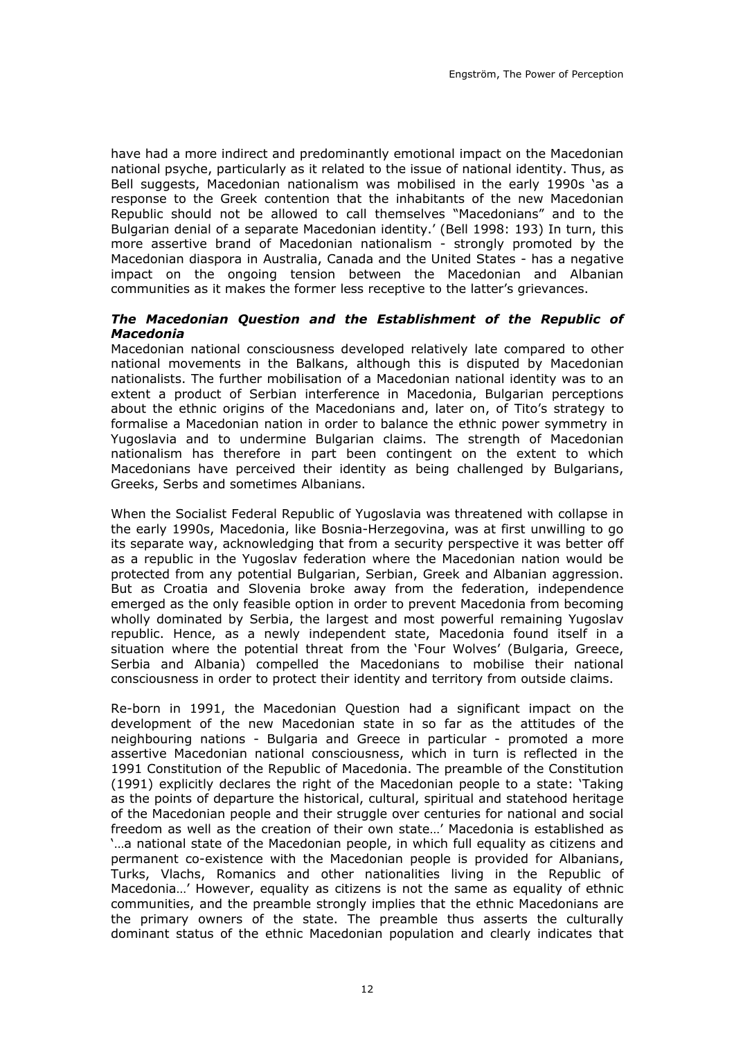have had a more indirect and predominantly emotional impact on the Macedonian national psyche, particularly as it related to the issue of national identity. Thus, as Bell suggests, Macedonian nationalism was mobilised in the early 1990s 'as a response to the Greek contention that the inhabitants of the new Macedonian Republic should not be allowed to call themselves "Macedonians" and to the Bulgarian denial of a separate Macedonian identity.' (Bell 1998: 193) In turn, this more assertive brand of Macedonian nationalism - strongly promoted by the Macedonian diaspora in Australia, Canada and the United States - has a negative impact on the ongoing tension between the Macedonian and Albanian communities as it makes the former less receptive to the latter's grievances.

### *The Macedonian Question and the Establishment of the Republic of Macedonia*

Macedonian national consciousness developed relatively late compared to other national movements in the Balkans, although this is disputed by Macedonian nationalists. The further mobilisation of a Macedonian national identity was to an extent a product of Serbian interference in Macedonia, Bulgarian perceptions about the ethnic origins of the Macedonians and, later on, of Tito's strategy to formalise a Macedonian nation in order to balance the ethnic power symmetry in Yugoslavia and to undermine Bulgarian claims. The strength of Macedonian nationalism has therefore in part been contingent on the extent to which Macedonians have perceived their identity as being challenged by Bulgarians, Greeks, Serbs and sometimes Albanians.

When the Socialist Federal Republic of Yugoslavia was threatened with collapse in the early 1990s, Macedonia, like Bosnia-Herzegovina, was at first unwilling to go its separate way, acknowledging that from a security perspective it was better off as a republic in the Yugoslav federation where the Macedonian nation would be protected from any potential Bulgarian, Serbian, Greek and Albanian aggression. But as Croatia and Slovenia broke away from the federation, independence emerged as the only feasible option in order to prevent Macedonia from becoming wholly dominated by Serbia, the largest and most powerful remaining Yugoslav republic. Hence, as a newly independent state, Macedonia found itself in a situation where the potential threat from the 'Four Wolves' (Bulgaria, Greece, Serbia and Albania) compelled the Macedonians to mobilise their national consciousness in order to protect their identity and territory from outside claims.

Re-born in 1991, the Macedonian Question had a significant impact on the development of the new Macedonian state in so far as the attitudes of the neighbouring nations - Bulgaria and Greece in particular - promoted a more assertive Macedonian national consciousness, which in turn is reflected in the 1991 Constitution of the Republic of Macedonia. The preamble of the Constitution (1991) explicitly declares the right of the Macedonian people to a state: 'Taking as the points of departure the historical, cultural, spiritual and statehood heritage of the Macedonian people and their struggle over centuries for national and social freedom as well as the creation of their own state…' Macedonia is established as '…a national state of the Macedonian people, in which full equality as citizens and permanent co-existence with the Macedonian people is provided for Albanians, Turks, Vlachs, Romanics and other nationalities living in the Republic of Macedonia…' However, equality as citizens is not the same as equality of ethnic communities, and the preamble strongly implies that the ethnic Macedonians are the primary owners of the state. The preamble thus asserts the culturally dominant status of the ethnic Macedonian population and clearly indicates that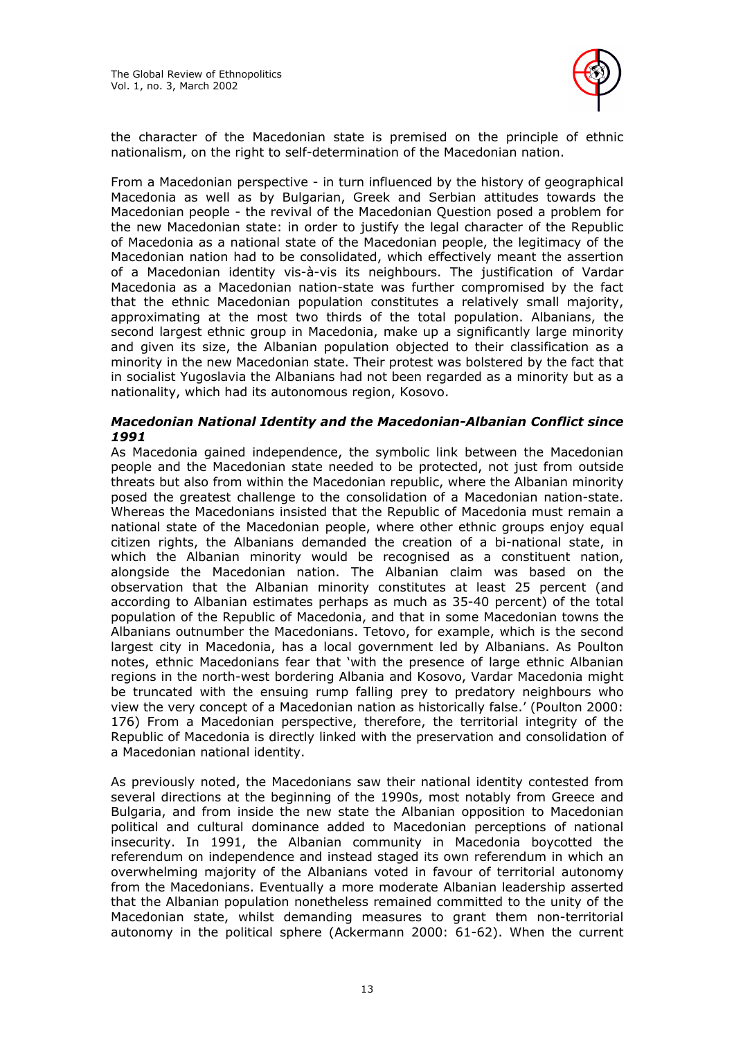

the character of the Macedonian state is premised on the principle of ethnic nationalism, on the right to self-determination of the Macedonian nation.

From a Macedonian perspective - in turn influenced by the history of geographical Macedonia as well as by Bulgarian, Greek and Serbian attitudes towards the Macedonian people - the revival of the Macedonian Question posed a problem for the new Macedonian state: in order to justify the legal character of the Republic of Macedonia as a national state of the Macedonian people, the legitimacy of the Macedonian nation had to be consolidated, which effectively meant the assertion of a Macedonian identity vis-à-vis its neighbours. The justification of Vardar Macedonia as a Macedonian nation-state was further compromised by the fact that the ethnic Macedonian population constitutes a relatively small majority, approximating at the most two thirds of the total population. Albanians, the second largest ethnic group in Macedonia, make up a significantly large minority and given its size, the Albanian population objected to their classification as a minority in the new Macedonian state. Their protest was bolstered by the fact that in socialist Yugoslavia the Albanians had not been regarded as a minority but as a nationality, which had its autonomous region, Kosovo.

# *Macedonian National Identity and the Macedonian-Albanian Conflict since 1991*

As Macedonia gained independence, the symbolic link between the Macedonian people and the Macedonian state needed to be protected, not just from outside threats but also from within the Macedonian republic, where the Albanian minority posed the greatest challenge to the consolidation of a Macedonian nation-state. Whereas the Macedonians insisted that the Republic of Macedonia must remain a national state of the Macedonian people, where other ethnic groups enjoy equal citizen rights, the Albanians demanded the creation of a bi-national state, in which the Albanian minority would be recognised as a constituent nation, alongside the Macedonian nation. The Albanian claim was based on the observation that the Albanian minority constitutes at least 25 percent (and according to Albanian estimates perhaps as much as 35-40 percent) of the total population of the Republic of Macedonia, and that in some Macedonian towns the Albanians outnumber the Macedonians. Tetovo, for example, which is the second largest city in Macedonia, has a local government led by Albanians. As Poulton notes, ethnic Macedonians fear that 'with the presence of large ethnic Albanian regions in the north-west bordering Albania and Kosovo, Vardar Macedonia might be truncated with the ensuing rump falling prey to predatory neighbours who view the very concept of a Macedonian nation as historically false.' (Poulton 2000: 176) From a Macedonian perspective, therefore, the territorial integrity of the Republic of Macedonia is directly linked with the preservation and consolidation of a Macedonian national identity.

As previously noted, the Macedonians saw their national identity contested from several directions at the beginning of the 1990s, most notably from Greece and Bulgaria, and from inside the new state the Albanian opposition to Macedonian political and cultural dominance added to Macedonian perceptions of national insecurity. In 1991, the Albanian community in Macedonia boycotted the referendum on independence and instead staged its own referendum in which an overwhelming majority of the Albanians voted in favour of territorial autonomy from the Macedonians. Eventually a more moderate Albanian leadership asserted that the Albanian population nonetheless remained committed to the unity of the Macedonian state, whilst demanding measures to grant them non-territorial autonomy in the political sphere (Ackermann 2000: 61-62). When the current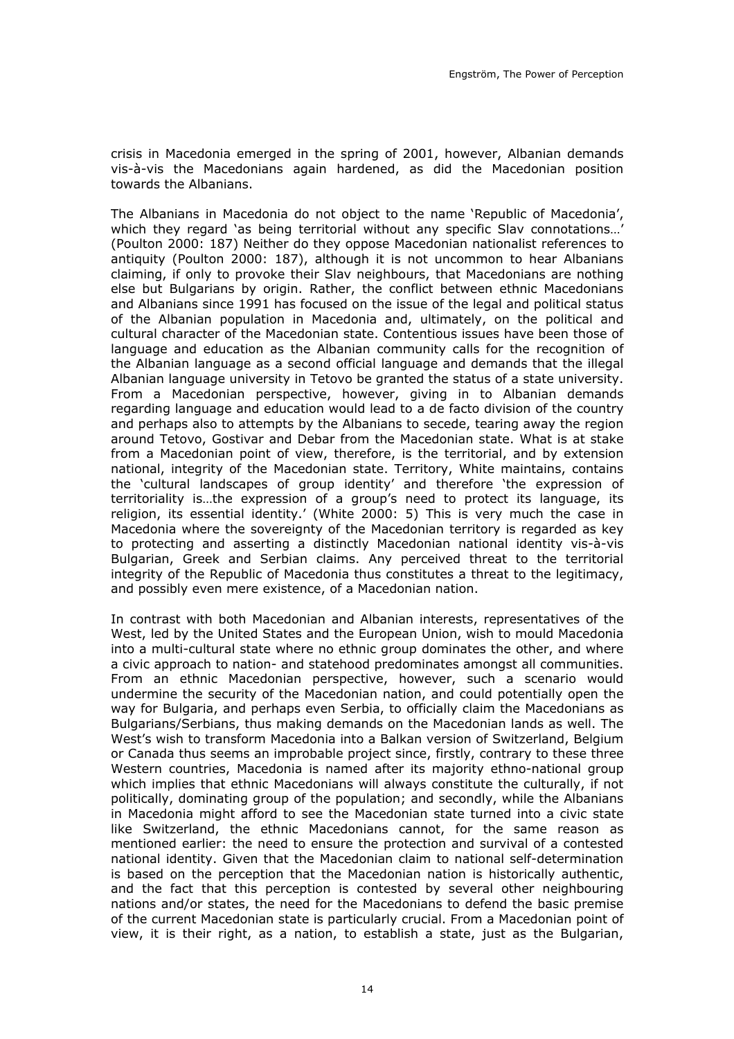crisis in Macedonia emerged in the spring of 2001, however, Albanian demands vis-à-vis the Macedonians again hardened, as did the Macedonian position towards the Albanians.

The Albanians in Macedonia do not object to the name 'Republic of Macedonia', which they regard 'as being territorial without any specific Slav connotations…' (Poulton 2000: 187) Neither do they oppose Macedonian nationalist references to antiquity (Poulton 2000: 187), although it is not uncommon to hear Albanians claiming, if only to provoke their Slav neighbours, that Macedonians are nothing else but Bulgarians by origin. Rather, the conflict between ethnic Macedonians and Albanians since 1991 has focused on the issue of the legal and political status of the Albanian population in Macedonia and, ultimately, on the political and cultural character of the Macedonian state. Contentious issues have been those of language and education as the Albanian community calls for the recognition of the Albanian language as a second official language and demands that the illegal Albanian language university in Tetovo be granted the status of a state university. From a Macedonian perspective, however, giving in to Albanian demands regarding language and education would lead to a de facto division of the country and perhaps also to attempts by the Albanians to secede, tearing away the region around Tetovo, Gostivar and Debar from the Macedonian state. What is at stake from a Macedonian point of view, therefore, is the territorial, and by extension national, integrity of the Macedonian state. Territory, White maintains, contains the 'cultural landscapes of group identity' and therefore 'the expression of territoriality is…the expression of a group's need to protect its language, its religion, its essential identity.' (White 2000: 5) This is very much the case in Macedonia where the sovereignty of the Macedonian territory is regarded as key to protecting and asserting a distinctly Macedonian national identity vis-à-vis Bulgarian, Greek and Serbian claims. Any perceived threat to the territorial integrity of the Republic of Macedonia thus constitutes a threat to the legitimacy, and possibly even mere existence, of a Macedonian nation.

In contrast with both Macedonian and Albanian interests, representatives of the West, led by the United States and the European Union, wish to mould Macedonia into a multi-cultural state where no ethnic group dominates the other, and where a civic approach to nation- and statehood predominates amongst all communities. From an ethnic Macedonian perspective, however, such a scenario would undermine the security of the Macedonian nation, and could potentially open the way for Bulgaria, and perhaps even Serbia, to officially claim the Macedonians as Bulgarians/Serbians, thus making demands on the Macedonian lands as well. The West's wish to transform Macedonia into a Balkan version of Switzerland, Belgium or Canada thus seems an improbable project since, firstly, contrary to these three Western countries, Macedonia is named after its majority ethno-national group which implies that ethnic Macedonians will always constitute the culturally, if not politically, dominating group of the population; and secondly, while the Albanians in Macedonia might afford to see the Macedonian state turned into a civic state like Switzerland, the ethnic Macedonians cannot, for the same reason as mentioned earlier: the need to ensure the protection and survival of a contested national identity. Given that the Macedonian claim to national self-determination is based on the perception that the Macedonian nation is historically authentic, and the fact that this perception is contested by several other neighbouring nations and/or states, the need for the Macedonians to defend the basic premise of the current Macedonian state is particularly crucial. From a Macedonian point of view, it is their right, as a nation, to establish a state, just as the Bulgarian,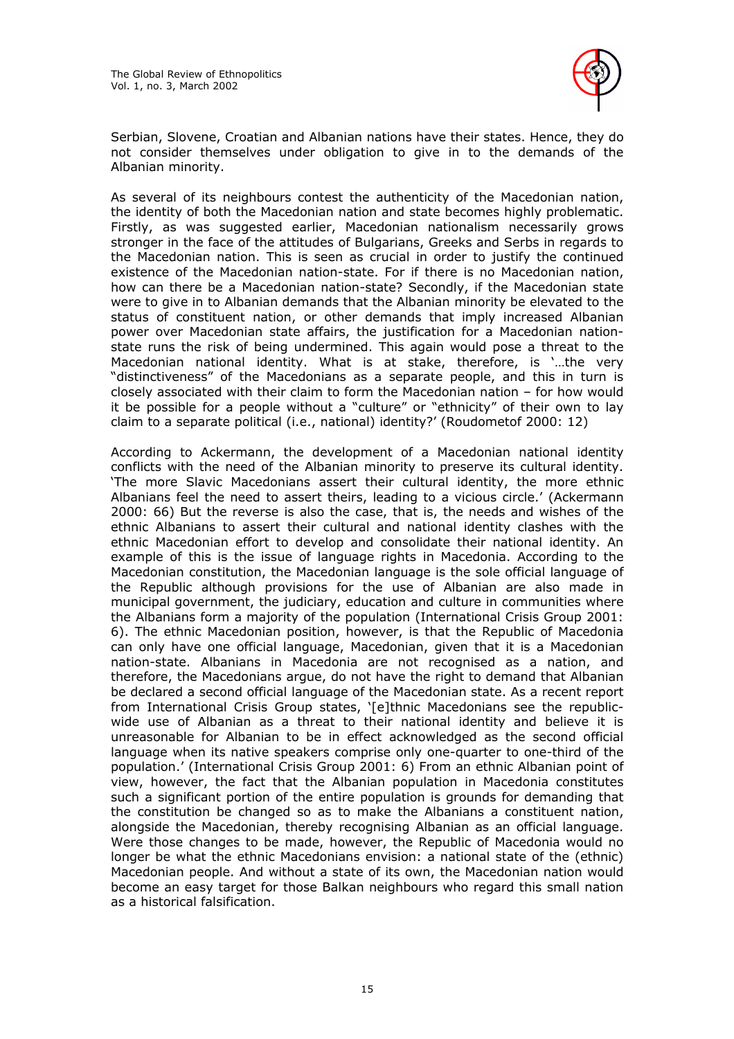

Serbian, Slovene, Croatian and Albanian nations have their states. Hence, they do not consider themselves under obligation to give in to the demands of the Albanian minority.

As several of its neighbours contest the authenticity of the Macedonian nation, the identity of both the Macedonian nation and state becomes highly problematic. Firstly, as was suggested earlier, Macedonian nationalism necessarily grows stronger in the face of the attitudes of Bulgarians, Greeks and Serbs in regards to the Macedonian nation. This is seen as crucial in order to justify the continued existence of the Macedonian nation-state. For if there is no Macedonian nation, how can there be a Macedonian nation-state? Secondly, if the Macedonian state were to give in to Albanian demands that the Albanian minority be elevated to the status of constituent nation, or other demands that imply increased Albanian power over Macedonian state affairs, the justification for a Macedonian nationstate runs the risk of being undermined. This again would pose a threat to the Macedonian national identity. What is at stake, therefore, is '…the very "distinctiveness" of the Macedonians as a separate people, and this in turn is closely associated with their claim to form the Macedonian nation – for how would it be possible for a people without a "culture" or "ethnicity" of their own to lay claim to a separate political (i.e., national) identity?' (Roudometof 2000: 12)

According to Ackermann, the development of a Macedonian national identity conflicts with the need of the Albanian minority to preserve its cultural identity. 'The more Slavic Macedonians assert their cultural identity, the more ethnic Albanians feel the need to assert theirs, leading to a vicious circle.' (Ackermann 2000: 66) But the reverse is also the case, that is, the needs and wishes of the ethnic Albanians to assert their cultural and national identity clashes with the ethnic Macedonian effort to develop and consolidate their national identity. An example of this is the issue of language rights in Macedonia. According to the Macedonian constitution, the Macedonian language is the sole official language of the Republic although provisions for the use of Albanian are also made in municipal government, the judiciary, education and culture in communities where the Albanians form a majority of the population (International Crisis Group 2001: 6). The ethnic Macedonian position, however, is that the Republic of Macedonia can only have one official language, Macedonian, given that it is a Macedonian nation-state. Albanians in Macedonia are not recognised as a nation, and therefore, the Macedonians argue, do not have the right to demand that Albanian be declared a second official language of the Macedonian state. As a recent report from International Crisis Group states, '[e]thnic Macedonians see the republicwide use of Albanian as a threat to their national identity and believe it is unreasonable for Albanian to be in effect acknowledged as the second official language when its native speakers comprise only one-quarter to one-third of the population.' (International Crisis Group 2001: 6) From an ethnic Albanian point of view, however, the fact that the Albanian population in Macedonia constitutes such a significant portion of the entire population is grounds for demanding that the constitution be changed so as to make the Albanians a constituent nation, alongside the Macedonian, thereby recognising Albanian as an official language. Were those changes to be made, however, the Republic of Macedonia would no longer be what the ethnic Macedonians envision: a national state of the (ethnic) Macedonian people. And without a state of its own, the Macedonian nation would become an easy target for those Balkan neighbours who regard this small nation as a historical falsification.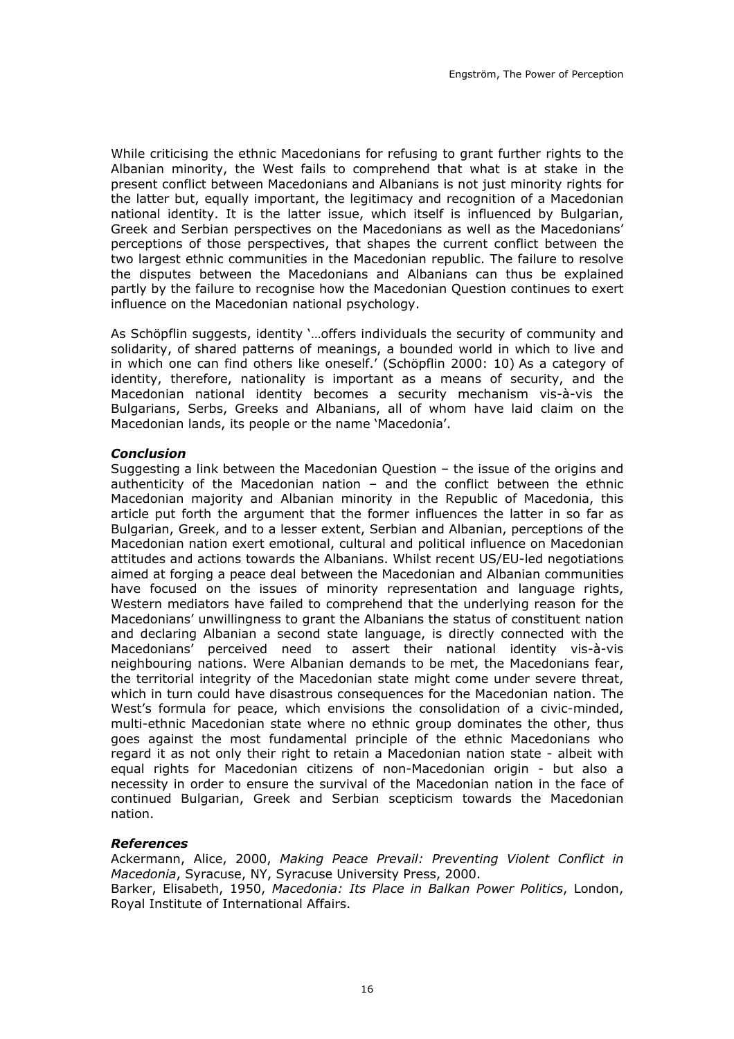While criticising the ethnic Macedonians for refusing to grant further rights to the Albanian minority, the West fails to comprehend that what is at stake in the present conflict between Macedonians and Albanians is not just minority rights for the latter but, equally important, the legitimacy and recognition of a Macedonian national identity. It is the latter issue, which itself is influenced by Bulgarian, Greek and Serbian perspectives on the Macedonians as well as the Macedonians' perceptions of those perspectives, that shapes the current conflict between the two largest ethnic communities in the Macedonian republic. The failure to resolve the disputes between the Macedonians and Albanians can thus be explained partly by the failure to recognise how the Macedonian Question continues to exert influence on the Macedonian national psychology.

As Schöpflin suggests, identity '…offers individuals the security of community and solidarity, of shared patterns of meanings, a bounded world in which to live and in which one can find others like oneself.' (Schöpflin 2000: 10) As a category of identity, therefore, nationality is important as a means of security, and the Macedonian national identity becomes a security mechanism vis-à-vis the Bulgarians, Serbs, Greeks and Albanians, all of whom have laid claim on the Macedonian lands, its people or the name 'Macedonia'.

# *Conclusion*

Suggesting a link between the Macedonian Question – the issue of the origins and authenticity of the Macedonian nation – and the conflict between the ethnic Macedonian majority and Albanian minority in the Republic of Macedonia, this article put forth the argument that the former influences the latter in so far as Bulgarian, Greek, and to a lesser extent, Serbian and Albanian, perceptions of the Macedonian nation exert emotional, cultural and political influence on Macedonian attitudes and actions towards the Albanians. Whilst recent US/EU-led negotiations aimed at forging a peace deal between the Macedonian and Albanian communities have focused on the issues of minority representation and language rights, Western mediators have failed to comprehend that the underlying reason for the Macedonians' unwillingness to grant the Albanians the status of constituent nation and declaring Albanian a second state language, is directly connected with the Macedonians' perceived need to assert their national identity vis-à-vis neighbouring nations. Were Albanian demands to be met, the Macedonians fear, the territorial integrity of the Macedonian state might come under severe threat, which in turn could have disastrous consequences for the Macedonian nation. The West's formula for peace, which envisions the consolidation of a civic-minded, multi-ethnic Macedonian state where no ethnic group dominates the other, thus goes against the most fundamental principle of the ethnic Macedonians who regard it as not only their right to retain a Macedonian nation state - albeit with equal rights for Macedonian citizens of non-Macedonian origin - but also a necessity in order to ensure the survival of the Macedonian nation in the face of continued Bulgarian, Greek and Serbian scepticism towards the Macedonian nation.

#### *References*

Ackermann, Alice, 2000, *Making Peace Prevail: Preventing Violent Conflict in Macedonia*, Syracuse, NY, Syracuse University Press, 2000.

Barker, Elisabeth, 1950, *Macedonia: Its Place in Balkan Power Politics*, London, Royal Institute of International Affairs.